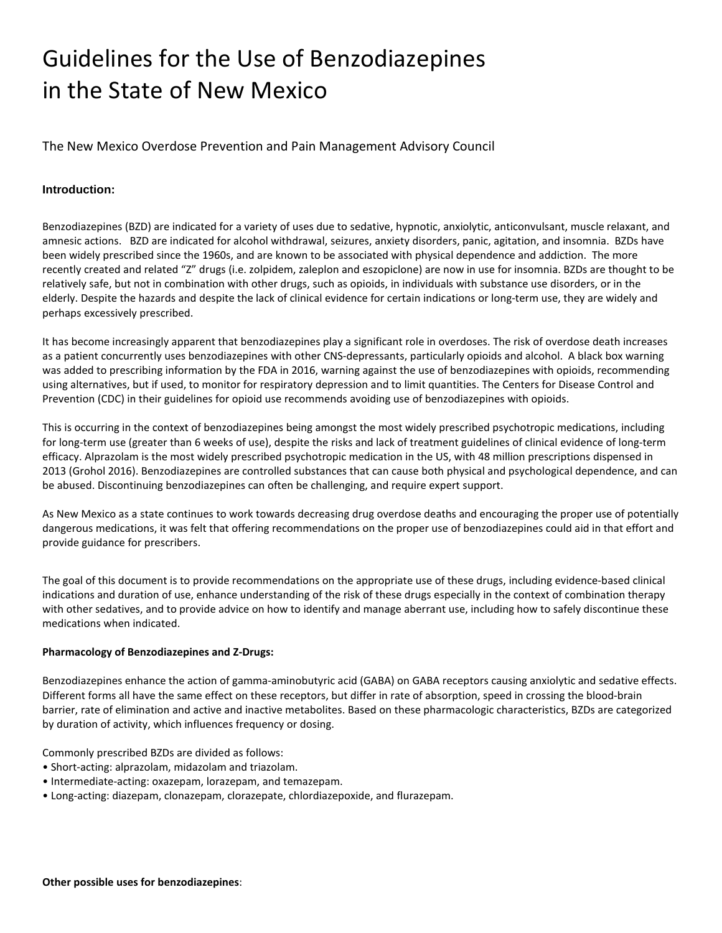# Guidelines for the Use of Benzodiazepines in the State of New Mexico

The New Mexico Overdose Prevention and Pain Management Advisory Council

## **Introduction:**

Benzodiazepines (BZD) are indicated for a variety of uses due to sedative, hypnotic, anxiolytic, anticonvulsant, muscle relaxant, and amnesic actions. BZD are indicated for alcohol withdrawal, seizures, anxiety disorders, panic, agitation, and insomnia. BZDs have been widely prescribed since the 1960s, and are known to be associated with physical dependence and addiction. The more recently created and related "Z" drugs (i.e. zolpidem, zaleplon and eszopiclone) are now in use for insomnia. BZDs are thought to be relatively safe, but not in combination with other drugs, such as opioids, in individuals with substance use disorders, or in the elderly. Despite the hazards and despite the lack of clinical evidence for certain indications or long-term use, they are widely and perhaps excessively prescribed.

It has become increasingly apparent that benzodiazepines play a significant role in overdoses. The risk of overdose death increases as a patient concurrently uses benzodiazepines with other CNS-depressants, particularly opioids and alcohol. A black box warning was added to prescribing information by the FDA in 2016, warning against the use of benzodiazepines with opioids, recommending using alternatives, but if used, to monitor for respiratory depression and to limit quantities. The Centers for Disease Control and Prevention (CDC) in their guidelines for opioid use recommends avoiding use of benzodiazepines with opioids.

This is occurring in the context of benzodiazepines being amongst the most widely prescribed psychotropic medications, including for long-term use (greater than 6 weeks of use), despite the risks and lack of treatment guidelines of clinical evidence of long-term efficacy. Alprazolam is the most widely prescribed psychotropic medication in the US, with 48 million prescriptions dispensed in 2013 (Grohol 2016). Benzodiazepines are controlled substances that can cause both physical and psychological dependence, and can be abused. Discontinuing benzodiazepines can often be challenging, and require expert support.

As New Mexico as a state continues to work towards decreasing drug overdose deaths and encouraging the proper use of potentially dangerous medications, it was felt that offering recommendations on the proper use of benzodiazepines could aid in that effort and provide guidance for prescribers.

The goal of this document is to provide recommendations on the appropriate use of these drugs, including evidence-based clinical indications and duration of use, enhance understanding of the risk of these drugs especially in the context of combination therapy with other sedatives, and to provide advice on how to identify and manage aberrant use, including how to safely discontinue these medications when indicated.

## **Pharmacology of Benzodiazepines and Z-Drugs:**

Benzodiazepines enhance the action of gamma-aminobutyric acid (GABA) on GABA receptors causing anxiolytic and sedative effects. Different forms all have the same effect on these receptors, but differ in rate of absorption, speed in crossing the blood-brain barrier, rate of elimination and active and inactive metabolites. Based on these pharmacologic characteristics, BZDs are categorized by duration of activity, which influences frequency or dosing.

Commonly prescribed BZDs are divided as follows:

- Short-acting: alprazolam, midazolam and triazolam.
- Intermediate-acting: oxazepam, lorazepam, and temazepam.
- Long-acting: diazepam, clonazepam, clorazepate, chlordiazepoxide, and flurazepam.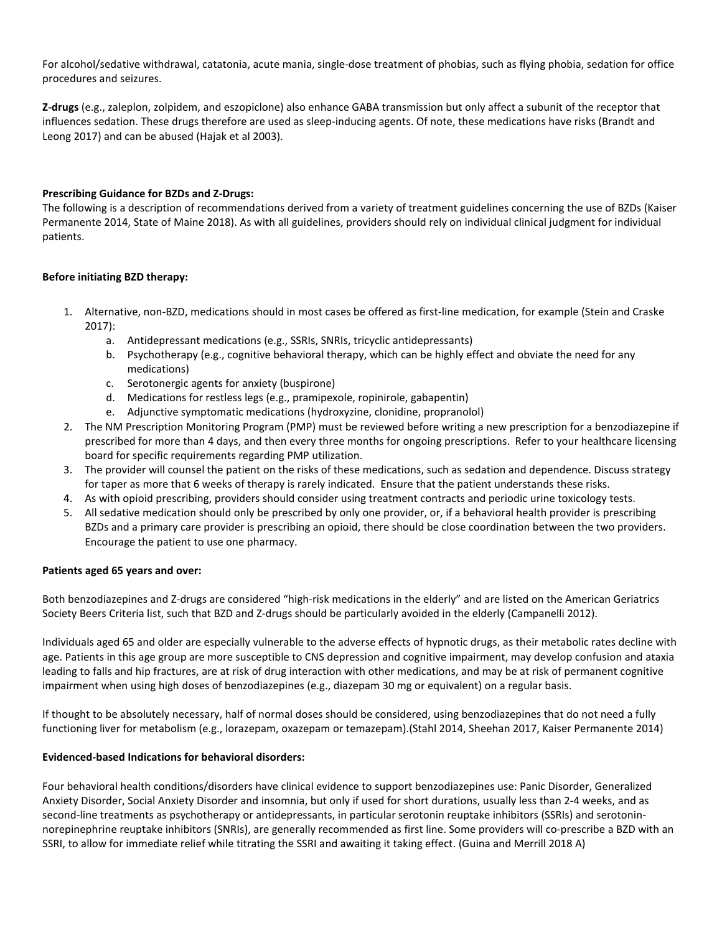For alcohol/sedative withdrawal, catatonia, acute mania, single-dose treatment of phobias, such as flying phobia, sedation for office procedures and seizures.

**Z-drugs** (e.g., zaleplon, zolpidem, and eszopiclone) also enhance GABA transmission but only affect a subunit of the receptor that influences sedation. These drugs therefore are used as sleep-inducing agents. Of note, these medications have risks (Brandt and Leong 2017) and can be abused (Hajak et al 2003).

## **Prescribing Guidance for BZDs and Z-Drugs:**

The following is a description of recommendations derived from a variety of treatment guidelines concerning the use of BZDs (Kaiser Permanente 2014, State of Maine 2018). As with all guidelines, providers should rely on individual clinical judgment for individual patients.

#### **Before initiating BZD therapy:**

- 1. Alternative, non-BZD, medications should in most cases be offered as first-line medication, for example (Stein and Craske 2017):
	- a. Antidepressant medications (e.g., SSRIs, SNRIs, tricyclic antidepressants)
	- b. Psychotherapy (e.g., cognitive behavioral therapy, which can be highly effect and obviate the need for any medications)
	- c. Serotonergic agents for anxiety (buspirone)
	- d. Medications for restless legs (e.g., pramipexole, ropinirole, gabapentin)
	- e. Adjunctive symptomatic medications (hydroxyzine, clonidine, propranolol)
- 2. The NM Prescription Monitoring Program (PMP) must be reviewed before writing a new prescription for a benzodiazepine if prescribed for more than 4 days, and then every three months for ongoing prescriptions. Refer to your healthcare licensing board for specific requirements regarding PMP utilization.
- 3. The provider will counsel the patient on the risks of these medications, such as sedation and dependence. Discuss strategy for taper as more that 6 weeks of therapy is rarely indicated. Ensure that the patient understands these risks.
- 4. As with opioid prescribing, providers should consider using treatment contracts and periodic urine toxicology tests.
- 5. All sedative medication should only be prescribed by only one provider, or, if a behavioral health provider is prescribing BZDs and a primary care provider is prescribing an opioid, there should be close coordination between the two providers. Encourage the patient to use one pharmacy.

#### **Patients aged 65 years and over:**

Both benzodiazepines and Z-drugs are considered "high-risk medications in the elderly" and are listed on the American Geriatrics Society Beers Criteria list, such that BZD and Z-drugs should be particularly avoided in the elderly (Campanelli 2012).

Individuals aged 65 and older are especially vulnerable to the adverse effects of hypnotic drugs, as their metabolic rates decline with age. Patients in this age group are more susceptible to CNS depression and cognitive impairment, may develop confusion and ataxia leading to falls and hip fractures, are at risk of drug interaction with other medications, and may be at risk of permanent cognitive impairment when using high doses of benzodiazepines (e.g., diazepam 30 mg or equivalent) on a regular basis.

If thought to be absolutely necessary, half of normal doses should be considered, using benzodiazepines that do not need a fully functioning liver for metabolism (e.g., lorazepam, oxazepam or temazepam).(Stahl 2014, Sheehan 2017, Kaiser Permanente 2014)

## **Evidenced-based Indications for behavioral disorders:**

Four behavioral health conditions/disorders have clinical evidence to support benzodiazepines use: Panic Disorder, Generalized Anxiety Disorder, Social Anxiety Disorder and insomnia, but only if used for short durations, usually less than 2-4 weeks, and as second-line treatments as psychotherapy or antidepressants, in particular serotonin reuptake inhibitors (SSRIs) and serotoninnorepinephrine reuptake inhibitors (SNRIs), are generally recommended as first line. Some providers will co-prescribe a BZD with an SSRI, to allow for immediate relief while titrating the SSRI and awaiting it taking effect. (Guina and Merrill 2018 A)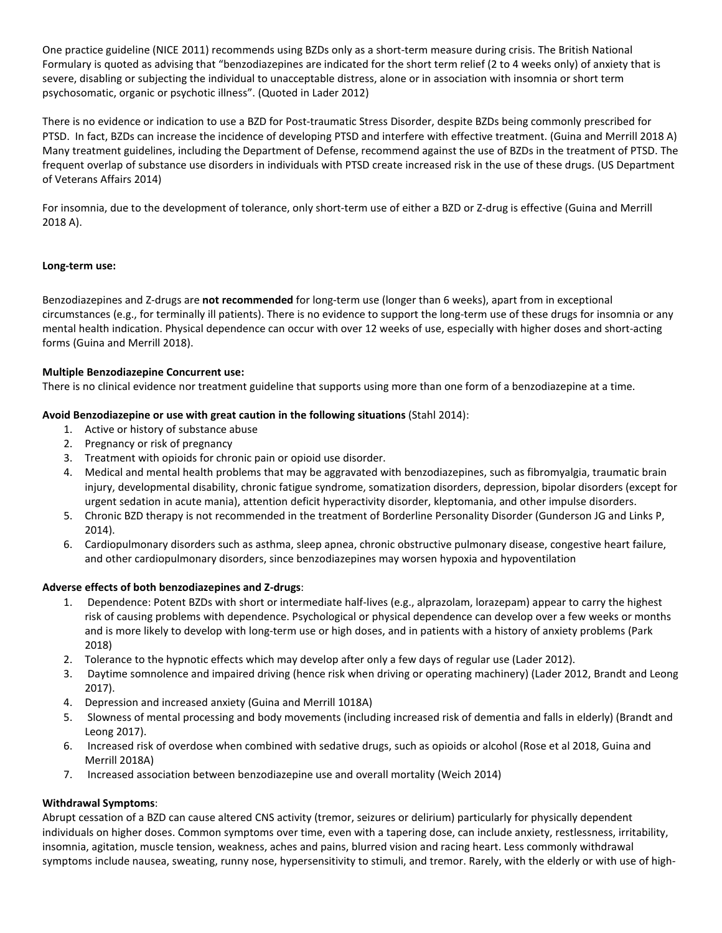One practice guideline (NICE 2011) recommends using BZDs only as a short-term measure during crisis. The British National Formulary is quoted as advising that "benzodiazepines are indicated for the short term relief (2 to 4 weeks only) of anxiety that is severe, disabling or subjecting the individual to unacceptable distress, alone or in association with insomnia or short term psychosomatic, organic or psychotic illness". (Quoted in Lader 2012)

There is no evidence or indication to use a BZD for Post-traumatic Stress Disorder, despite BZDs being commonly prescribed for PTSD. In fact, BZDs can increase the incidence of developing PTSD and interfere with effective treatment. (Guina and Merrill 2018 A) Many treatment guidelines, including the Department of Defense, recommend against the use of BZDs in the treatment of PTSD. The frequent overlap of substance use disorders in individuals with PTSD create increased risk in the use of these drugs. (US Department of Veterans Affairs 2014)

For insomnia, due to the development of tolerance, only short-term use of either a BZD or Z-drug is effective (Guina and Merrill 2018 A).

## **Long-term use:**

Benzodiazepines and Z-drugs are **not recommended** for long-term use (longer than 6 weeks), apart from in exceptional circumstances (e.g., for terminally ill patients). There is no evidence to support the long-term use of these drugs for insomnia or any mental health indication. Physical dependence can occur with over 12 weeks of use, especially with higher doses and short-acting forms (Guina and Merrill 2018).

## **Multiple Benzodiazepine Concurrent use:**

There is no clinical evidence nor treatment guideline that supports using more than one form of a benzodiazepine at a time.

## **Avoid Benzodiazepine or use with great caution in the following situations** (Stahl 2014):

- 1. Active or history of substance abuse
- 2. Pregnancy or risk of pregnancy
- 3. Treatment with opioids for chronic pain or opioid use disorder.
- 4. Medical and mental health problems that may be aggravated with benzodiazepines, such as fibromyalgia, traumatic brain injury, developmental disability, chronic fatigue syndrome, somatization disorders, depression, bipolar disorders (except for urgent sedation in acute mania), attention deficit hyperactivity disorder, kleptomania, and other impulse disorders.
- 5. Chronic BZD therapy is not recommended in the treatment of Borderline Personality Disorder (Gunderson JG and Links P, 2014).
- 6. Cardiopulmonary disorders such as asthma, sleep apnea, chronic obstructive pulmonary disease, congestive heart failure, and other cardiopulmonary disorders, since benzodiazepines may worsen hypoxia and hypoventilation

## **Adverse effects of both benzodiazepines and Z-drugs**:

- 1. Dependence: Potent BZDs with short or intermediate half-lives (e.g., alprazolam, lorazepam) appear to carry the highest risk of causing problems with dependence. Psychological or physical dependence can develop over a few weeks or months and is more likely to develop with long-term use or high doses, and in patients with a history of anxiety problems (Park 2018)
- 2. Tolerance to the hypnotic effects which may develop after only a few days of regular use (Lader 2012).
- 3. Daytime somnolence and impaired driving (hence risk when driving or operating machinery) (Lader 2012, Brandt and Leong 2017).
- 4. Depression and increased anxiety (Guina and Merrill 1018A)
- 5. Slowness of mental processing and body movements (including increased risk of dementia and falls in elderly) (Brandt and Leong 2017).
- 6. Increased risk of overdose when combined with sedative drugs, such as opioids or alcohol (Rose et al 2018, Guina and Merrill 2018A)
- 7. Increased association between benzodiazepine use and overall mortality (Weich 2014)

## **Withdrawal Symptoms**:

Abrupt cessation of a BZD can cause altered CNS activity (tremor, seizures or delirium) particularly for physically dependent individuals on higher doses. Common symptoms over time, even with a tapering dose, can include anxiety, restlessness, irritability, insomnia, agitation, muscle tension, weakness, aches and pains, blurred vision and racing heart. Less commonly withdrawal symptoms include nausea, sweating, runny nose, hypersensitivity to stimuli, and tremor. Rarely, with the elderly or with use of high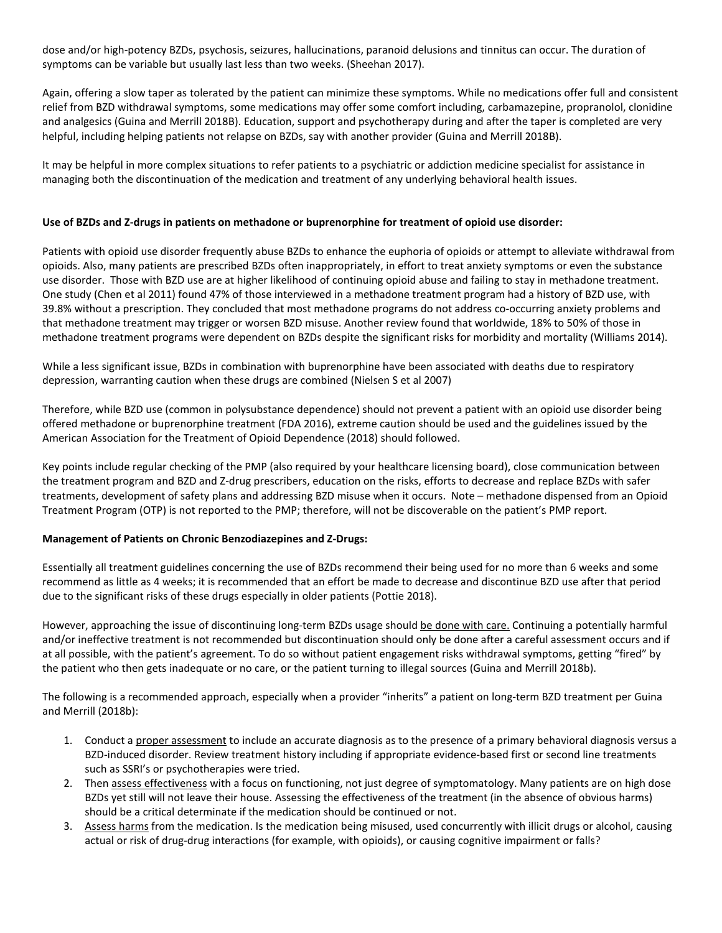dose and/or high-potency BZDs, psychosis, seizures, hallucinations, paranoid delusions and tinnitus can occur. The duration of symptoms can be variable but usually last less than two weeks. (Sheehan 2017).

Again, offering a slow taper as tolerated by the patient can minimize these symptoms. While no medications offer full and consistent relief from BZD withdrawal symptoms, some medications may offer some comfort including, carbamazepine, propranolol, clonidine and analgesics (Guina and Merrill 2018B). Education, support and psychotherapy during and after the taper is completed are very helpful, including helping patients not relapse on BZDs, say with another provider (Guina and Merrill 2018B).

It may be helpful in more complex situations to refer patients to a psychiatric or addiction medicine specialist for assistance in managing both the discontinuation of the medication and treatment of any underlying behavioral health issues.

## **Use of BZDs and Z-drugs in patients on methadone or buprenorphine for treatment of opioid use disorder:**

Patients with opioid use disorder frequently abuse BZDs to enhance the euphoria of opioids or attempt to alleviate withdrawal from opioids. Also, many patients are prescribed BZDs often inappropriately, in effort to treat anxiety symptoms or even the substance use disorder. Those with BZD use are at higher likelihood of continuing opioid abuse and failing to stay in methadone treatment. One study (Chen et al 2011) found 47% of those interviewed in a methadone treatment program had a history of BZD use, with 39.8% without a prescription. They concluded that most methadone programs do not address co-occurring anxiety problems and that methadone treatment may trigger or worsen BZD misuse. Another review found that worldwide, 18% to 50% of those in methadone treatment programs were dependent on BZDs despite the significant risks for morbidity and mortality (Williams 2014).

While a less significant issue, BZDs in combination with buprenorphine have been associated with deaths due to respiratory depression, warranting caution when these drugs are combined (Nielsen S et al 2007)

Therefore, while BZD use (common in polysubstance dependence) should not prevent a patient with an opioid use disorder being offered methadone or buprenorphine treatment (FDA 2016), extreme caution should be used and the guidelines issued by the American Association for the Treatment of Opioid Dependence (2018) should followed.

Key points include regular checking of the PMP (also required by your healthcare licensing board), close communication between the treatment program and BZD and Z-drug prescribers, education on the risks, efforts to decrease and replace BZDs with safer treatments, development of safety plans and addressing BZD misuse when it occurs. Note – methadone dispensed from an Opioid Treatment Program (OTP) is not reported to the PMP; therefore, will not be discoverable on the patient's PMP report.

## **Management of Patients on Chronic Benzodiazepines and Z-Drugs:**

Essentially all treatment guidelines concerning the use of BZDs recommend their being used for no more than 6 weeks and some recommend as little as 4 weeks; it is recommended that an effort be made to decrease and discontinue BZD use after that period due to the significant risks of these drugs especially in older patients (Pottie 2018).

However, approaching the issue of discontinuing long-term BZDs usage should be done with care. Continuing a potentially harmful and/or ineffective treatment is not recommended but discontinuation should only be done after a careful assessment occurs and if at all possible, with the patient's agreement. To do so without patient engagement risks withdrawal symptoms, getting "fired" by the patient who then gets inadequate or no care, or the patient turning to illegal sources (Guina and Merrill 2018b).

The following is a recommended approach, especially when a provider "inherits" a patient on long-term BZD treatment per Guina and Merrill (2018b):

- 1. Conduct a proper assessment to include an accurate diagnosis as to the presence of a primary behavioral diagnosis versus a BZD-induced disorder. Review treatment history including if appropriate evidence-based first or second line treatments such as SSRI's or psychotherapies were tried.
- 2. Then assess effectiveness with a focus on functioning, not just degree of symptomatology. Many patients are on high dose BZDs yet still will not leave their house. Assessing the effectiveness of the treatment (in the absence of obvious harms) should be a critical determinate if the medication should be continued or not.
- 3. Assess harms from the medication. Is the medication being misused, used concurrently with illicit drugs or alcohol, causing actual or risk of drug-drug interactions (for example, with opioids), or causing cognitive impairment or falls?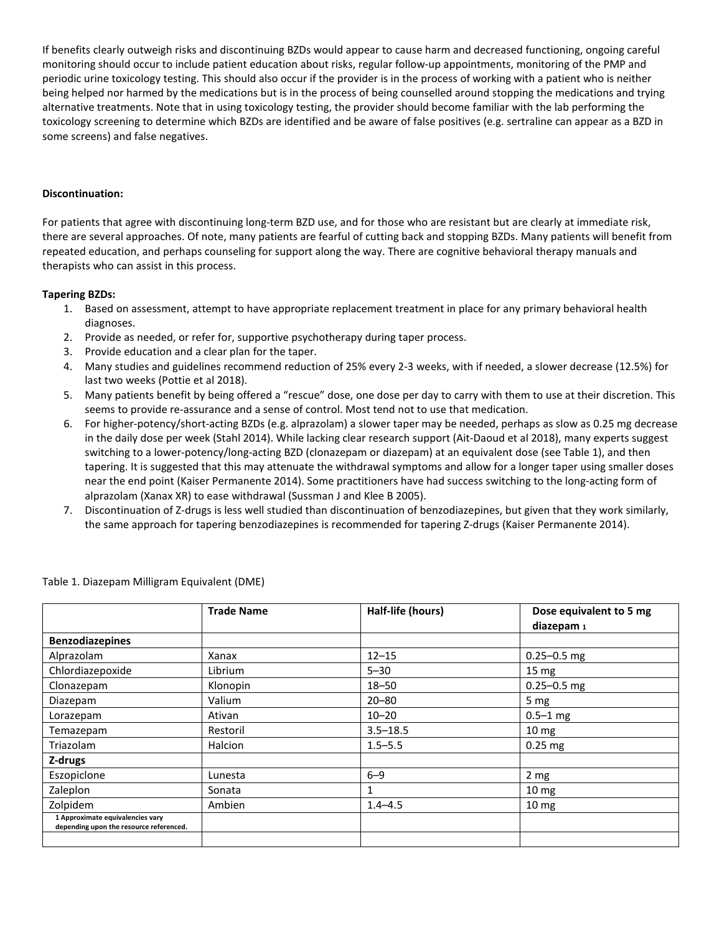If benefits clearly outweigh risks and discontinuing BZDs would appear to cause harm and decreased functioning, ongoing careful monitoring should occur to include patient education about risks, regular follow-up appointments, monitoring of the PMP and periodic urine toxicology testing. This should also occur if the provider is in the process of working with a patient who is neither being helped nor harmed by the medications but is in the process of being counselled around stopping the medications and trying alternative treatments. Note that in using toxicology testing, the provider should become familiar with the lab performing the toxicology screening to determine which BZDs are identified and be aware of false positives (e.g. sertraline can appear as a BZD in some screens) and false negatives.

## **Discontinuation:**

For patients that agree with discontinuing long-term BZD use, and for those who are resistant but are clearly at immediate risk, there are several approaches. Of note, many patients are fearful of cutting back and stopping BZDs. Many patients will benefit from repeated education, and perhaps counseling for support along the way. There are cognitive behavioral therapy manuals and therapists who can assist in this process.

## **Tapering BZDs:**

- 1. Based on assessment, attempt to have appropriate replacement treatment in place for any primary behavioral health diagnoses.
- 2. Provide as needed, or refer for, supportive psychotherapy during taper process.
- 3. Provide education and a clear plan for the taper.
- 4. Many studies and guidelines recommend reduction of 25% every 2-3 weeks, with if needed, a slower decrease (12.5%) for last two weeks (Pottie et al 2018).
- 5. Many patients benefit by being offered a "rescue" dose, one dose per day to carry with them to use at their discretion. This seems to provide re-assurance and a sense of control. Most tend not to use that medication.
- 6. For higher-potency/short-acting BZDs (e.g. alprazolam) a slower taper may be needed, perhaps as slow as 0.25 mg decrease in the daily dose per week (Stahl 2014). While lacking clear research support (Ait-Daoud et al 2018), many experts suggest switching to a lower-potency/long-acting BZD (clonazepam or diazepam) at an equivalent dose (see Table 1), and then tapering. It is suggested that this may attenuate the withdrawal symptoms and allow for a longer taper using smaller doses near the end point (Kaiser Permanente 2014). Some practitioners have had success switching to the long-acting form of alprazolam (Xanax XR) to ease withdrawal (Sussman J and Klee B 2005).
- 7. Discontinuation of Z-drugs is less well studied than discontinuation of benzodiazepines, but given that they work similarly, the same approach for tapering benzodiazepines is recommended for tapering Z-drugs (Kaiser Permanente 2014).

|                                                                             | <b>Trade Name</b> | Half-life (hours) | Dose equivalent to 5 mg |
|-----------------------------------------------------------------------------|-------------------|-------------------|-------------------------|
|                                                                             |                   |                   | diazepam <sub>1</sub>   |
| <b>Benzodiazepines</b>                                                      |                   |                   |                         |
| Alprazolam                                                                  | Xanax             | $12 - 15$         | $0.25 - 0.5$ mg         |
| Chlordiazepoxide                                                            | Librium           | $5 - 30$          | 15 <sub>mg</sub>        |
| Clonazepam                                                                  | Klonopin          | $18 - 50$         | $0.25 - 0.5$ mg         |
| Diazepam                                                                    | Valium            | $20 - 80$         | 5 mg                    |
| Lorazepam                                                                   | Ativan            | $10 - 20$         | $0.5 - 1$ mg            |
| Temazepam                                                                   | Restoril          | $3.5 - 18.5$      | $10 \text{ mg}$         |
| Triazolam                                                                   | Halcion           | $1.5 - 5.5$       | $0.25$ mg               |
| Z-drugs                                                                     |                   |                   |                         |
| Eszopiclone                                                                 | Lunesta           | $6 - 9$           | 2 <sub>mg</sub>         |
| Zaleplon                                                                    | Sonata            | 1                 | 10 <sub>mg</sub>        |
| Zolpidem                                                                    | Ambien            | $1.4 - 4.5$       | 10 <sub>mg</sub>        |
| 1 Approximate equivalencies vary<br>depending upon the resource referenced. |                   |                   |                         |
|                                                                             |                   |                   |                         |

Table 1. Diazepam Milligram Equivalent (DME)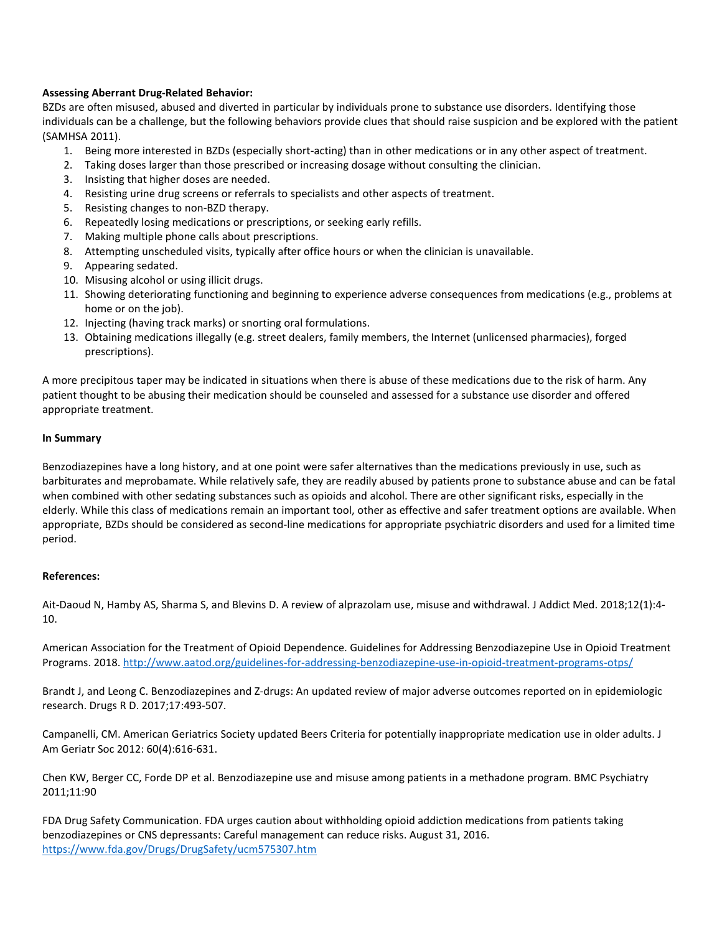## **Assessing Aberrant Drug-Related Behavior:**

BZDs are often misused, abused and diverted in particular by individuals prone to substance use disorders. Identifying those individuals can be a challenge, but the following behaviors provide clues that should raise suspicion and be explored with the patient (SAMHSA 2011).

- 1. Being more interested in BZDs (especially short-acting) than in other medications or in any other aspect of treatment.
- 2. Taking doses larger than those prescribed or increasing dosage without consulting the clinician.
- 3. Insisting that higher doses are needed.
- 4. Resisting urine drug screens or referrals to specialists and other aspects of treatment.
- 5. Resisting changes to non-BZD therapy.
- 6. Repeatedly losing medications or prescriptions, or seeking early refills.
- 7. Making multiple phone calls about prescriptions.
- 8. Attempting unscheduled visits, typically after office hours or when the clinician is unavailable.
- 9. Appearing sedated.
- 10. Misusing alcohol or using illicit drugs.
- 11. Showing deteriorating functioning and beginning to experience adverse consequences from medications (e.g., problems at home or on the job).
- 12. Injecting (having track marks) or snorting oral formulations.
- 13. Obtaining medications illegally (e.g. street dealers, family members, the Internet (unlicensed pharmacies), forged prescriptions).

A more precipitous taper may be indicated in situations when there is abuse of these medications due to the risk of harm. Any patient thought to be abusing their medication should be counseled and assessed for a substance use disorder and offered appropriate treatment.

#### **In Summary**

Benzodiazepines have a long history, and at one point were safer alternatives than the medications previously in use, such as barbiturates and meprobamate. While relatively safe, they are readily abused by patients prone to substance abuse and can be fatal when combined with other sedating substances such as opioids and alcohol. There are other significant risks, especially in the elderly. While this class of medications remain an important tool, other as effective and safer treatment options are available. When appropriate, BZDs should be considered as second-line medications for appropriate psychiatric disorders and used for a limited time period.

#### **References:**

Ait-Daoud N, Hamby AS, Sharma S, and Blevins D. A review of alprazolam use, misuse and withdrawal. J Addict Med. 2018;12(1):4- 10.

American Association for the Treatment of Opioid Dependence. Guidelines for Addressing Benzodiazepine Use in Opioid Treatment Programs. 2018[. http://www.aatod.org/guidelines-for-addressing-benzodiazepine-use-in-opioid-treatment-programs-otps/](http://www.aatod.org/guidelines-for-addressing-benzodiazepine-use-in-opioid-treatment-programs-otps/)

Brandt J, and Leong C. Benzodiazepines and Z-drugs: An updated review of major adverse outcomes reported on in epidemiologic research. Drugs R D. 2017;17:493-507.

Campanelli, CM. American Geriatrics Society updated Beers Criteria for potentially inappropriate medication use in older adults. J Am Geriatr Soc 2012: 60(4):616-631.

Chen KW, Berger CC, Forde DP et al. Benzodiazepine use and misuse among patients in a methadone program. BMC Psychiatry 2011;11:90

FDA Drug Safety Communication. FDA urges caution about withholding opioid addiction medications from patients taking benzodiazepines or CNS depressants: Careful management can reduce risks. August 31, 2016. <https://www.fda.gov/Drugs/DrugSafety/ucm575307.htm>